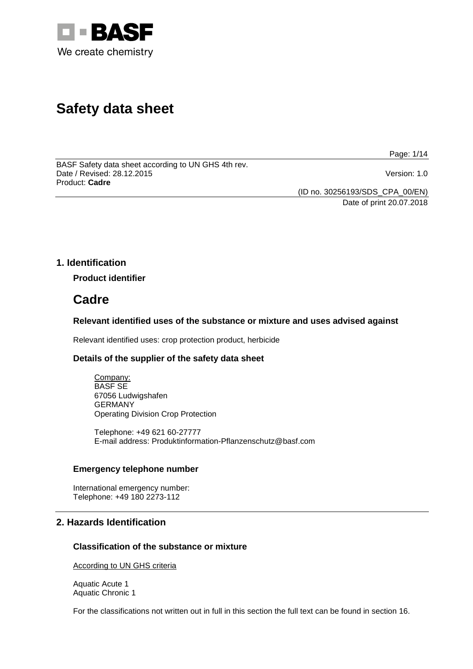

# **Safety data sheet**

Page: 1/14

BASF Safety data sheet according to UN GHS 4th rev. Date / Revised: 28.12.2015 Version: 1.0 Product: **Cadre**

(ID no. 30256193/SDS\_CPA\_00/EN)

Date of print 20.07.2018

# **1. Identification**

**Product identifier**

# **Cadre**

# **Relevant identified uses of the substance or mixture and uses advised against**

Relevant identified uses: crop protection product, herbicide

# **Details of the supplier of the safety data sheet**

Company: BASF SE 67056 Ludwigshafen GERMANY Operating Division Crop Protection

Telephone: +49 621 60-27777 E-mail address: Produktinformation-Pflanzenschutz@basf.com

# **Emergency telephone number**

International emergency number: Telephone: +49 180 2273-112

# **2. Hazards Identification**

# **Classification of the substance or mixture**

According to UN GHS criteria

Aquatic Acute 1 Aquatic Chronic 1

For the classifications not written out in full in this section the full text can be found in section 16.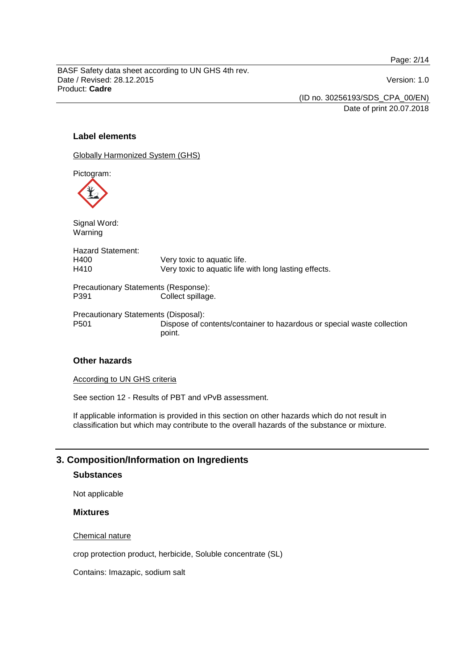Page: 2/14

BASF Safety data sheet according to UN GHS 4th rev. Date / Revised: 28.12.2015 Version: 1.0 Product: **Cadre**

(ID no. 30256193/SDS\_CPA\_00/EN) Date of print 20.07.2018

# **Label elements**

Globally Harmonized System (GHS)

Pictogram:

Signal Word: Warning Hazard Statement:<br>H400 H400 Very toxic to aquatic life.<br>H410 Very toxic to aquatic life Very toxic to aquatic life with long lasting effects. Precautionary Statements (Response): P391 Collect spillage. Precautionary Statements (Disposal): P501 Dispose of contents/container to hazardous or special waste collection point.

# **Other hazards**

According to UN GHS criteria

See section 12 - Results of PBT and vPvB assessment.

If applicable information is provided in this section on other hazards which do not result in classification but which may contribute to the overall hazards of the substance or mixture.

# **3. Composition/Information on Ingredients**

# **Substances**

Not applicable

### **Mixtures**

Chemical nature

crop protection product, herbicide, Soluble concentrate (SL)

Contains: Imazapic, sodium salt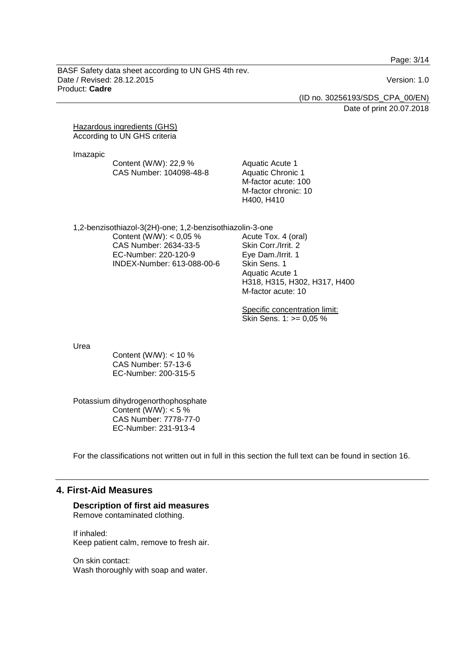Page: 3/14

BASF Safety data sheet according to UN GHS 4th rev. Date / Revised: 28.12.2015 Version: 1.0 Product: **Cadre**

(ID no. 30256193/SDS\_CPA\_00/EN)

Date of print 20.07.2018

Hazardous ingredients (GHS) According to UN GHS criteria

Imazapic

| Content (W/W): 22,9 %   |
|-------------------------|
| CAS Number: 104098-48-8 |

Aquatic Acute 1 Aquatic Chronic 1 M-factor acute: 100 M-factor chronic: 10 H400, H410

1,2-benzisothiazol-3(2H)-one; 1,2-benzisothiazolin-3-one Content (W/W):  $< 0.05 \%$ CAS Number: 2634-33-5 EC-Number: 220-120-9 INDEX-Number: 613-088-00-6

Acute Tox. 4 (oral) Skin Corr./Irrit. 2 Eye Dam./Irrit. 1 Skin Sens. 1 Aquatic Acute 1 H318, H315, H302, H317, H400 M-factor acute: 10

Specific concentration limit: Skin Sens. 1: >= 0,05 %

Urea

Content (W/W):  $<$  10 % CAS Number: 57-13-6 EC-Number: 200-315-5

Potassium dihydrogenorthophosphate Content (W/W):  $< 5 \%$ CAS Number: 7778-77-0 EC-Number: 231-913-4

For the classifications not written out in full in this section the full text can be found in section 16.

# **4. First-Aid Measures**

# **Description of first aid measures**

Remove contaminated clothing.

If inhaled: Keep patient calm, remove to fresh air.

On skin contact: Wash thoroughly with soap and water.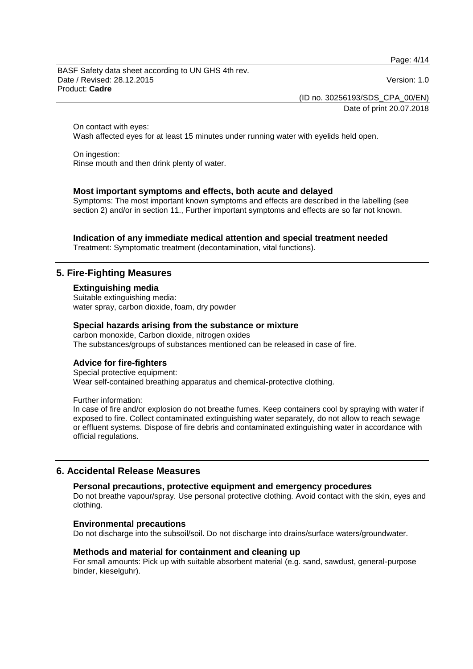Page: 4/14

BASF Safety data sheet according to UN GHS 4th rev. Date / Revised: 28.12.2015 Version: 1.0 Product: **Cadre**

(ID no. 30256193/SDS\_CPA\_00/EN)

Date of print 20.07.2018

On contact with eyes:

Wash affected eyes for at least 15 minutes under running water with eyelids held open.

On ingestion: Rinse mouth and then drink plenty of water.

# **Most important symptoms and effects, both acute and delayed**

Symptoms: The most important known symptoms and effects are described in the labelling (see section 2) and/or in section 11., Further important symptoms and effects are so far not known.

# **Indication of any immediate medical attention and special treatment needed**

Treatment: Symptomatic treatment (decontamination, vital functions).

# **5. Fire-Fighting Measures**

### **Extinguishing media**

Suitable extinguishing media: water spray, carbon dioxide, foam, dry powder

# **Special hazards arising from the substance or mixture**

carbon monoxide, Carbon dioxide, nitrogen oxides The substances/groups of substances mentioned can be released in case of fire.

### **Advice for fire-fighters**

Special protective equipment: Wear self-contained breathing apparatus and chemical-protective clothing.

Further information:

In case of fire and/or explosion do not breathe fumes. Keep containers cool by spraying with water if exposed to fire. Collect contaminated extinguishing water separately, do not allow to reach sewage or effluent systems. Dispose of fire debris and contaminated extinguishing water in accordance with official regulations.

# **6. Accidental Release Measures**

## **Personal precautions, protective equipment and emergency procedures**

Do not breathe vapour/spray. Use personal protective clothing. Avoid contact with the skin, eyes and clothing.

### **Environmental precautions**

Do not discharge into the subsoil/soil. Do not discharge into drains/surface waters/groundwater.

### **Methods and material for containment and cleaning up**

For small amounts: Pick up with suitable absorbent material (e.g. sand, sawdust, general-purpose binder, kieselguhr).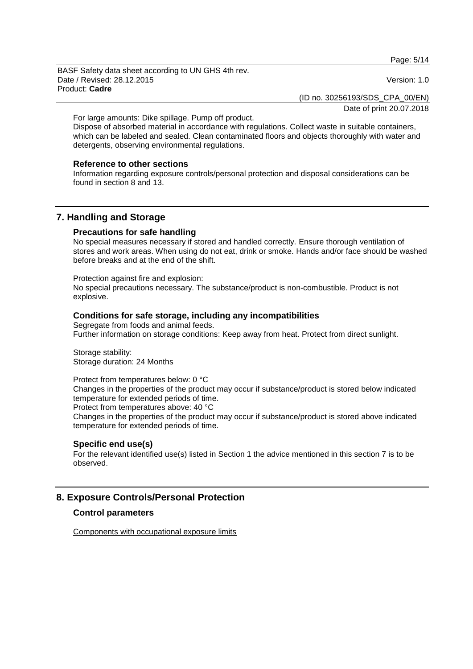Page: 5/14

BASF Safety data sheet according to UN GHS 4th rev. Date / Revised: 28.12.2015 Version: 1.0 Product: **Cadre**

(ID no. 30256193/SDS\_CPA\_00/EN)

Date of print 20.07.2018

For large amounts: Dike spillage. Pump off product.

Dispose of absorbed material in accordance with regulations. Collect waste in suitable containers, which can be labeled and sealed. Clean contaminated floors and objects thoroughly with water and detergents, observing environmental regulations.

### **Reference to other sections**

Information regarding exposure controls/personal protection and disposal considerations can be found in section 8 and 13.

# **7. Handling and Storage**

### **Precautions for safe handling**

No special measures necessary if stored and handled correctly. Ensure thorough ventilation of stores and work areas. When using do not eat, drink or smoke. Hands and/or face should be washed before breaks and at the end of the shift.

Protection against fire and explosion:

No special precautions necessary. The substance/product is non-combustible. Product is not explosive.

# **Conditions for safe storage, including any incompatibilities**

Segregate from foods and animal feeds. Further information on storage conditions: Keep away from heat. Protect from direct sunlight.

Storage stability: Storage duration: 24 Months

Protect from temperatures below: 0 °C Changes in the properties of the product may occur if substance/product is stored below indicated temperature for extended periods of time.

Protect from temperatures above: 40 °C

Changes in the properties of the product may occur if substance/product is stored above indicated temperature for extended periods of time.

# **Specific end use(s)**

For the relevant identified use(s) listed in Section 1 the advice mentioned in this section 7 is to be observed.

# **8. Exposure Controls/Personal Protection**

# **Control parameters**

Components with occupational exposure limits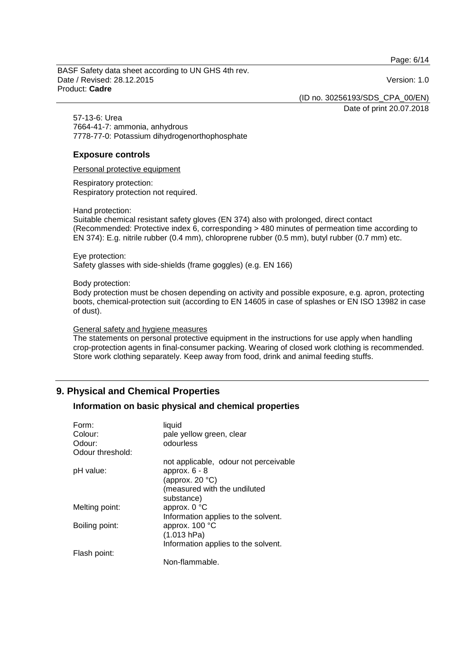Page: 6/14

BASF Safety data sheet according to UN GHS 4th rev. Date / Revised: 28.12.2015 Version: 1.0 Product: **Cadre**

(ID no. 30256193/SDS\_CPA\_00/EN)

Date of print 20.07.2018

57-13-6: Urea 7664-41-7: ammonia, anhydrous 7778-77-0: Potassium dihydrogenorthophosphate

# **Exposure controls**

Personal protective equipment

Respiratory protection: Respiratory protection not required.

Hand protection:

Suitable chemical resistant safety gloves (EN 374) also with prolonged, direct contact (Recommended: Protective index 6, corresponding > 480 minutes of permeation time according to EN 374): E.g. nitrile rubber (0.4 mm), chloroprene rubber (0.5 mm), butyl rubber (0.7 mm) etc.

Eye protection: Safety glasses with side-shields (frame goggles) (e.g. EN 166)

Body protection:

Body protection must be chosen depending on activity and possible exposure, e.g. apron, protecting boots, chemical-protection suit (according to EN 14605 in case of splashes or EN ISO 13982 in case of dust).

### General safety and hygiene measures

The statements on personal protective equipment in the instructions for use apply when handling crop-protection agents in final-consumer packing. Wearing of closed work clothing is recommended. Store work clothing separately. Keep away from food, drink and animal feeding stuffs.

# **9. Physical and Chemical Properties**

# **Information on basic physical and chemical properties**

| Form:            | liquid                                |
|------------------|---------------------------------------|
| Colour:          | pale yellow green, clear              |
| Odour:           | odourless                             |
| Odour threshold: |                                       |
|                  | not applicable, odour not perceivable |
| pH value:        | approx. $6 - 8$                       |
|                  | (approx. $20 °C$ )                    |
|                  | (measured with the undiluted          |
|                  | substance)                            |
| Melting point:   | approx. 0 °C                          |
|                  | Information applies to the solvent.   |
| Boiling point:   | approx. 100 °C                        |
|                  | (1.013 hPa)                           |
|                  | Information applies to the solvent.   |
| Flash point:     |                                       |
|                  | Non-flammable.                        |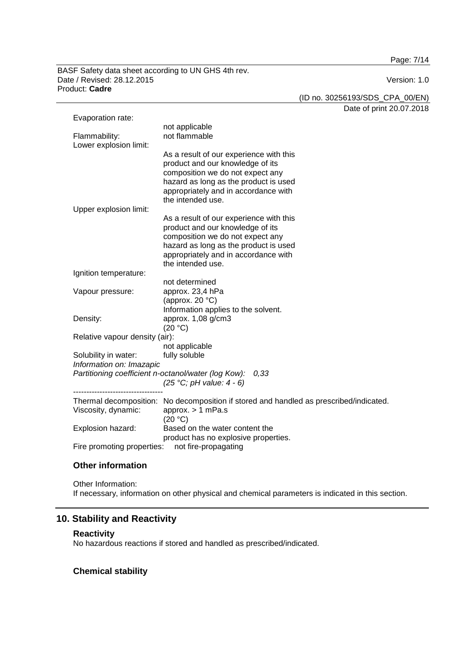Page: 7/14

BASF Safety data sheet according to UN GHS 4th rev. Date / Revised: 28.12.2015 Product: **Cadre**

(ID no. 30256193/SDS\_CPA\_00/EN)

Date of print 20.07.2018

| Evaporation rate:                                   |                                                                                        |  |
|-----------------------------------------------------|----------------------------------------------------------------------------------------|--|
|                                                     | not applicable                                                                         |  |
| Flammability:                                       | not flammable                                                                          |  |
| Lower explosion limit:                              |                                                                                        |  |
|                                                     | As a result of our experience with this                                                |  |
|                                                     | product and our knowledge of its                                                       |  |
|                                                     | composition we do not expect any<br>hazard as long as the product is used              |  |
|                                                     | appropriately and in accordance with                                                   |  |
|                                                     | the intended use.                                                                      |  |
| Upper explosion limit:                              |                                                                                        |  |
|                                                     | As a result of our experience with this                                                |  |
|                                                     | product and our knowledge of its                                                       |  |
|                                                     | composition we do not expect any                                                       |  |
|                                                     | hazard as long as the product is used                                                  |  |
|                                                     | appropriately and in accordance with                                                   |  |
|                                                     | the intended use.                                                                      |  |
| Ignition temperature:                               |                                                                                        |  |
|                                                     | not determined                                                                         |  |
| Vapour pressure:                                    | approx. 23,4 hPa                                                                       |  |
|                                                     | (approx. 20 °C)                                                                        |  |
|                                                     | Information applies to the solvent.                                                    |  |
| Density:                                            | approx. 1,08 g/cm3                                                                     |  |
|                                                     | (20 °C)                                                                                |  |
| Relative vapour density (air):                      |                                                                                        |  |
|                                                     | not applicable                                                                         |  |
| Solubility in water:<br>Information on: Imazapic    | fully soluble                                                                          |  |
| Partitioning coefficient n-octanol/water (log Kow): | 0,33                                                                                   |  |
|                                                     | $(25 °C; pH value: 4 - 6)$                                                             |  |
|                                                     |                                                                                        |  |
|                                                     | Thermal decomposition: No decomposition if stored and handled as prescribed/indicated. |  |
| Viscosity, dynamic:                                 | approx. $> 1$ mPa.s                                                                    |  |
|                                                     | (20 °C)                                                                                |  |
| Explosion hazard:                                   | Based on the water content the                                                         |  |
|                                                     | product has no explosive properties.                                                   |  |
| Fire promoting properties:<br>not fire-propagating  |                                                                                        |  |

# **Other information**

Other Information: If necessary, information on other physical and chemical parameters is indicated in this section.

# **10. Stability and Reactivity**

# **Reactivity**

No hazardous reactions if stored and handled as prescribed/indicated.

# **Chemical stability**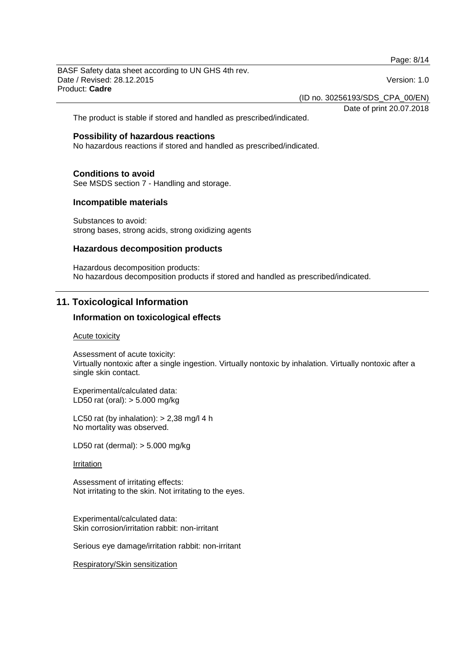Page: 8/14

BASF Safety data sheet according to UN GHS 4th rev. Date / Revised: 28.12.2015 Version: 1.0 Product: **Cadre**

(ID no. 30256193/SDS\_CPA\_00/EN)

Date of print 20.07.2018

The product is stable if stored and handled as prescribed/indicated.

# **Possibility of hazardous reactions**

No hazardous reactions if stored and handled as prescribed/indicated.

#### **Conditions to avoid**

See MSDS section 7 - Handling and storage.

#### **Incompatible materials**

Substances to avoid: strong bases, strong acids, strong oxidizing agents

### **Hazardous decomposition products**

Hazardous decomposition products: No hazardous decomposition products if stored and handled as prescribed/indicated.

# **11. Toxicological Information**

### **Information on toxicological effects**

#### Acute toxicity

Assessment of acute toxicity: Virtually nontoxic after a single ingestion. Virtually nontoxic by inhalation. Virtually nontoxic after a single skin contact.

Experimental/calculated data: LD50 rat (oral): > 5.000 mg/kg

LC50 rat (by inhalation):  $> 2,38$  mg/l 4 h No mortality was observed.

LD50 rat (dermal): > 5.000 mg/kg

#### Irritation

Assessment of irritating effects: Not irritating to the skin. Not irritating to the eyes.

Experimental/calculated data: Skin corrosion/irritation rabbit: non-irritant

Serious eye damage/irritation rabbit: non-irritant

Respiratory/Skin sensitization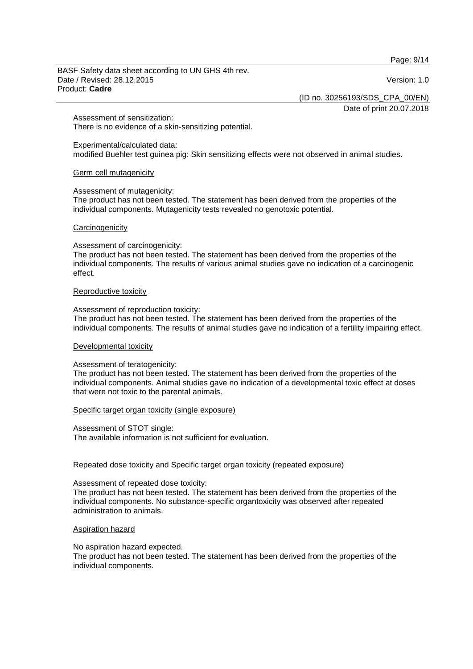Page: 9/14

BASF Safety data sheet according to UN GHS 4th rev. Date / Revised: 28.12.2015 Version: 1.0 Product: **Cadre**

(ID no. 30256193/SDS\_CPA\_00/EN)

Date of print 20.07.2018

Assessment of sensitization: There is no evidence of a skin-sensitizing potential.

Experimental/calculated data:

modified Buehler test guinea pig: Skin sensitizing effects were not observed in animal studies.

### Germ cell mutagenicity

#### Assessment of mutagenicity:

The product has not been tested. The statement has been derived from the properties of the individual components. Mutagenicity tests revealed no genotoxic potential.

#### **Carcinogenicity**

#### Assessment of carcinogenicity:

The product has not been tested. The statement has been derived from the properties of the individual components. The results of various animal studies gave no indication of a carcinogenic effect.

#### Reproductive toxicity

Assessment of reproduction toxicity:

The product has not been tested. The statement has been derived from the properties of the individual components. The results of animal studies gave no indication of a fertility impairing effect.

### Developmental toxicity

### Assessment of teratogenicity:

The product has not been tested. The statement has been derived from the properties of the individual components. Animal studies gave no indication of a developmental toxic effect at doses that were not toxic to the parental animals.

### Specific target organ toxicity (single exposure)

Assessment of STOT single: The available information is not sufficient for evaluation.

### Repeated dose toxicity and Specific target organ toxicity (repeated exposure)

#### Assessment of repeated dose toxicity:

The product has not been tested. The statement has been derived from the properties of the individual components. No substance-specific organtoxicity was observed after repeated administration to animals.

### Aspiration hazard

No aspiration hazard expected.

The product has not been tested. The statement has been derived from the properties of the individual components.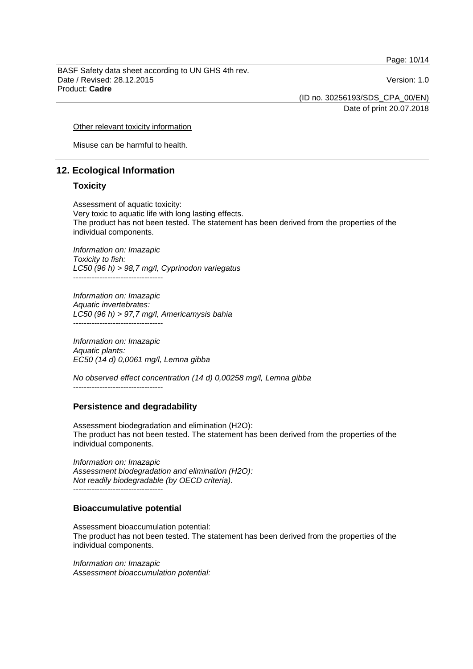Page: 10/14

BASF Safety data sheet according to UN GHS 4th rev. Date / Revised: 28.12.2015 Version: 1.0 Product: **Cadre**

(ID no. 30256193/SDS\_CPA\_00/EN)

Date of print 20.07.2018

Other relevant toxicity information

Misuse can be harmful to health.

# **12. Ecological Information**

# **Toxicity**

Assessment of aquatic toxicity: Very toxic to aquatic life with long lasting effects. The product has not been tested. The statement has been derived from the properties of the individual components.

*Information on: Imazapic Toxicity to fish: LC50 (96 h) > 98,7 mg/l, Cyprinodon variegatus* ----------------------------------

*Information on: Imazapic Aquatic invertebrates: LC50 (96 h) > 97,7 mg/l, Americamysis bahia*  $-$ 

*Information on: Imazapic Aquatic plants: EC50 (14 d) 0,0061 mg/l, Lemna gibba*

*No observed effect concentration (14 d) 0,00258 mg/l, Lemna gibba* ----------------------------------

# **Persistence and degradability**

Assessment biodegradation and elimination (H2O): The product has not been tested. The statement has been derived from the properties of the individual components.

*Information on: Imazapic Assessment biodegradation and elimination (H2O): Not readily biodegradable (by OECD criteria).* ----------------------------------

# **Bioaccumulative potential**

Assessment bioaccumulation potential: The product has not been tested. The statement has been derived from the properties of the individual components.

*Information on: Imazapic Assessment bioaccumulation potential:*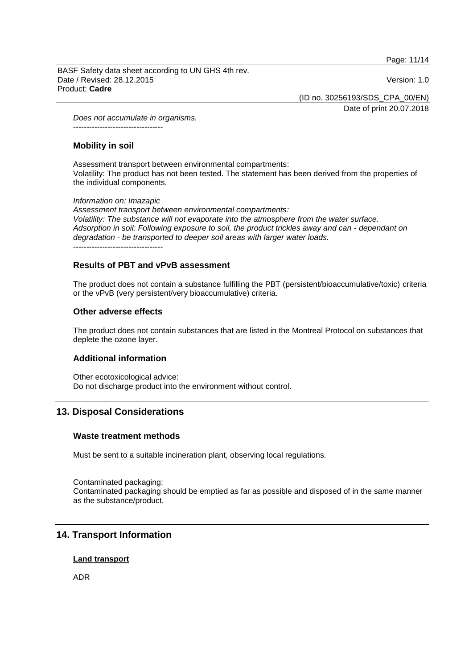Page: 11/14

BASF Safety data sheet according to UN GHS 4th rev. Date / Revised: 28.12.2015 Version: 1.0 Product: **Cadre**

(ID no. 30256193/SDS\_CPA\_00/EN)

Date of print 20.07.2018

*Does not accumulate in organisms.* ----------------------------------

# **Mobility in soil**

Assessment transport between environmental compartments: Volatility: The product has not been tested. The statement has been derived from the properties of the individual components.

### *Information on: Imazapic*

*Assessment transport between environmental compartments: Volatility: The substance will not evaporate into the atmosphere from the water surface. Adsorption in soil: Following exposure to soil, the product trickles away and can - dependant on degradation - be transported to deeper soil areas with larger water loads.*

----------------------------------

# **Results of PBT and vPvB assessment**

The product does not contain a substance fulfilling the PBT (persistent/bioaccumulative/toxic) criteria or the vPvB (very persistent/very bioaccumulative) criteria.

# **Other adverse effects**

The product does not contain substances that are listed in the Montreal Protocol on substances that deplete the ozone layer.

# **Additional information**

Other ecotoxicological advice: Do not discharge product into the environment without control.

# **13. Disposal Considerations**

# **Waste treatment methods**

Must be sent to a suitable incineration plant, observing local regulations.

Contaminated packaging: Contaminated packaging should be emptied as far as possible and disposed of in the same manner as the substance/product.

# **14. Transport Information**

# **Land transport**

ADR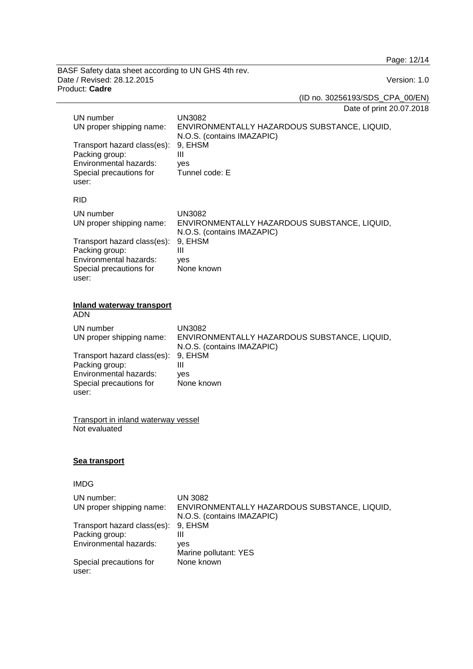Page: 12/14

BASF Safety data sheet according to UN GHS 4th rev. Date / Revised: 28.12.2015 Version: 1.0 Product: **Cadre**

(ID no. 30256193/SDS\_CPA\_00/EN)

Date of print 20.07.2018

|                                                             | UN number<br>UN proper shipping name:<br>Transport hazard class(es):<br>Packing group:<br>Environmental hazards:<br>Special precautions for<br>user: | <b>UN3082</b><br>ENVIRONMENTALLY HAZARDOUS SUBSTANCE, LIQUID,<br>N.O.S. (contains IMAZAPIC)<br>9, EHSM<br>$\mathbf{III}$<br>yes<br>Tunnel code: E |
|-------------------------------------------------------------|------------------------------------------------------------------------------------------------------------------------------------------------------|---------------------------------------------------------------------------------------------------------------------------------------------------|
|                                                             | <b>RID</b>                                                                                                                                           |                                                                                                                                                   |
|                                                             | UN number<br>UN proper shipping name:                                                                                                                | <b>UN3082</b><br>ENVIRONMENTALLY HAZARDOUS SUBSTANCE, LIQUID,<br>N.O.S. (contains IMAZAPIC)                                                       |
|                                                             | Transport hazard class(es):<br>Packing group:<br>Environmental hazards:<br>Special precautions for<br>user:                                          | 9, EHSM<br>III<br>yes<br>None known                                                                                                               |
|                                                             | <b>Inland waterway transport</b><br><b>ADN</b>                                                                                                       |                                                                                                                                                   |
|                                                             | UN number<br>UN proper shipping name:                                                                                                                | <b>UN3082</b><br>ENVIRONMENTALLY HAZARDOUS SUBSTANCE, LIQUID,<br>N.O.S. (contains IMAZAPIC)                                                       |
|                                                             | Transport hazard class(es):<br>Packing group:<br>Environmental hazards:<br>Special precautions for<br>user:                                          | 9, EHSM<br>III<br>yes<br>None known                                                                                                               |
| <b>Transport in inland waterway vessel</b><br>Not evaluated |                                                                                                                                                      |                                                                                                                                                   |
|                                                             | <b>Sea transport</b>                                                                                                                                 |                                                                                                                                                   |
|                                                             | IMDG                                                                                                                                                 |                                                                                                                                                   |
|                                                             | UN number:<br>UN proper shipping name:                                                                                                               | <b>UN 3082</b><br>ENVIRONMENTALLY HAZARDOUS SUBSTANCE, LIQUID,<br>N.O.S. (contains IMAZAPIC)                                                      |
|                                                             | Transport hazard class(es):<br>Packing group:<br>Environmental hazards:                                                                              | 9, EHSM<br>$\mathbf{III}$<br>yes<br>Marine pollutant: YES                                                                                         |
|                                                             | Special precautions for<br>user:                                                                                                                     | None known                                                                                                                                        |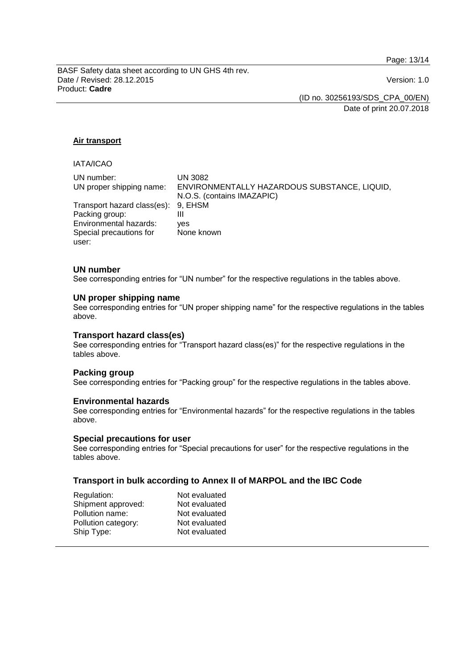Page: 13/14

BASF Safety data sheet according to UN GHS 4th rev. Date / Revised: 28.12.2015 Version: 1.0 Product: **Cadre**

(ID no. 30256193/SDS\_CPA\_00/EN)

Date of print 20.07.2018

# **Air transport**

# IATA/ICAO

| UN number:<br>UN proper shipping name:                | UN 3082<br>ENVIRONMENTALLY HAZARDOUS SUBSTANCE, LIQUID,<br>N.O.S. (contains IMAZAPIC) |
|-------------------------------------------------------|---------------------------------------------------------------------------------------|
| Transport hazard class(es): 9, EHSM<br>Packing group: | Ш                                                                                     |
| Environmental hazards:<br>Special precautions for     | ves<br>None known                                                                     |
| user:                                                 |                                                                                       |

# **UN number**

See corresponding entries for "UN number" for the respective regulations in the tables above.

# **UN proper shipping name**

See corresponding entries for "UN proper shipping name" for the respective regulations in the tables above.

# **Transport hazard class(es)**

See corresponding entries for "Transport hazard class(es)" for the respective regulations in the tables above.

### **Packing group**

See corresponding entries for "Packing group" for the respective regulations in the tables above.

### **Environmental hazards**

See corresponding entries for "Environmental hazards" for the respective regulations in the tables above.

### **Special precautions for user**

See corresponding entries for "Special precautions for user" for the respective regulations in the tables above.

# **Transport in bulk according to Annex II of MARPOL and the IBC Code**

| Not evaluated |
|---------------|
| Not evaluated |
| Not evaluated |
| Not evaluated |
| Not evaluated |
|               |